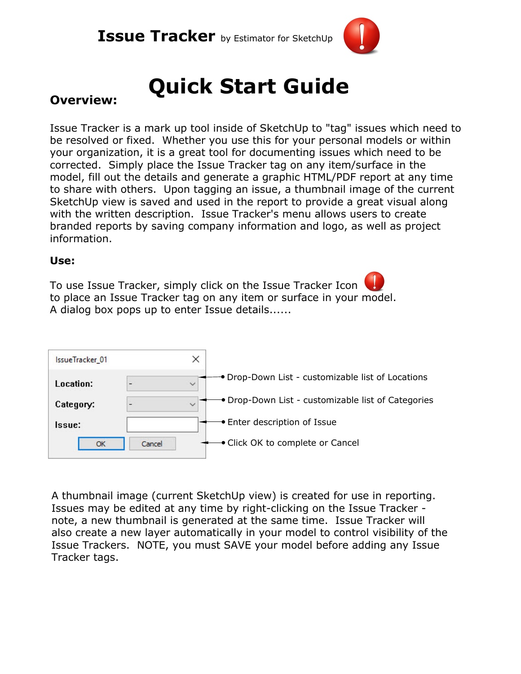## **Issue Tracker** by Estimator for SketchUp



## **Quick Start Guide**

## **Overview:**

Issue Tracker is <sup>a</sup> mark up tool inside of SketchUp to "tag" issues which need to be resolved or fixed. Whether you use this for your personal models or within your organization, it is <sup>a</sup> great tool for documenting issues which need to be corrected. Simply place the Issue Tracker tag on any item/surface in the model, fill out the details and generate <sup>a</sup> graphic HTML/PDF report at any time to share with others. Upon tagging an issue, <sup>a</sup> thumbnail image of the current SketchUp view is saved and used in the report to provide <sup>a</sup> great visual along with the written description. Issue Tracker's menu allows users to create branded reports by saving company information and logo, as well as project information.

#### **Use:**

To use Issue Tracker, simply click on the Issue Tracker Icon to place an Issue Tracker tag on any item or surface in your model. A dialog box pops up to enter Issue details......



A thumbnail image (current SketchUp view) is created for use in reporting. Issues may be edited at any time by right-clicking on the Issue Tracker note, <sup>a</sup> new thumbnail is generated at the same time. Issue Tracker will also create <sup>a</sup> new layer automatically in your model to control visibility of the Issue Trackers. NOTE, you must SAVE your model before adding any Issue Tracker tags.